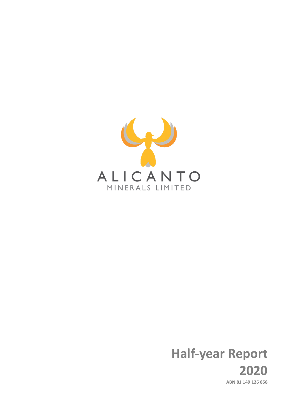

# **Half-year Report 2020 ABN 81 149 126 858**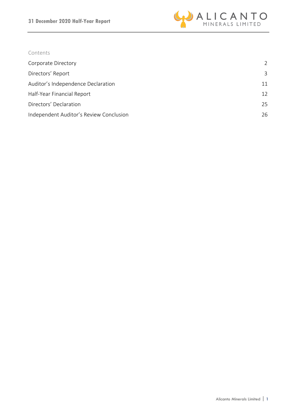

# Contents

| Corporate Directory                     | $\mathcal{L}$     |
|-----------------------------------------|-------------------|
| Directors' Report                       | 3                 |
| Auditor's Independence Declaration      | 11                |
| Half-Year Financial Report              | $12 \overline{ }$ |
| Directors' Declaration                  | 25                |
| Independent Auditor's Review Conclusion | 26                |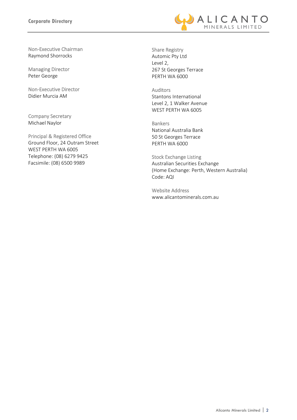

Non-Executive Chairman Raymond Shorrocks

Managing Director Peter George

Non-Executive Director Didier Murcia AM

Company Secretary Michael Naylor

Principal & Registered Office Ground Floor, 24 Outram Street WEST PERTH WA 6005 Telephone: (08) 6279 9425 Facsimile: (08) 6500 9989

Share Registry Automic Pty Ltd Level 2, 267 St Georges Terrace PERTH WA 6000

Auditors Stantons International Level 2, 1 Walker Avenue WEST PERTH WA 6005

Bankers National Australia Bank 50 St Georges Terrace PERTH WA 6000

Stock Exchange Listing Australian Securities Exchange (Home Exchange: Perth, Western Australia) Code: AQI

Website Address www.alicantominerals.com.au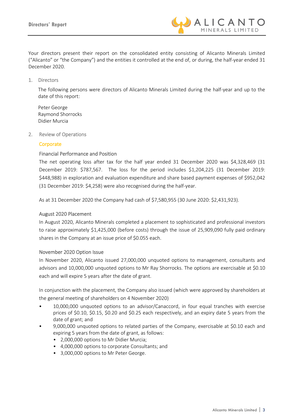

Your directors present their report on the consolidated entity consisting of Alicanto Minerals Limited ("Alicanto" or "the Company") and the entities it controlled at the end of, or during, the half-year ended 31 December 2020.

1. Directors

The following persons were directors of Alicanto Minerals Limited during the half-year and up to the date of this report:

Peter George Raymond Shorrocks Didier Murcia

2. Review of Operations

#### **Corporate**

#### Financial Performance and Position

The net operating loss after tax for the half year ended 31 December 2020 was \$4,328,469 (31 December 2019: \$787,567. The loss for the period includes \$1,204,225 (31 December 2019: \$448,988) in exploration and evaluation expenditure and share based payment expenses of \$952,042 (31 December 2019: \$4,258) were also recognised during the half-year.

As at 31 December 2020 the Company had cash of \$7,580,955 (30 June 2020: \$2,431,923).

#### August 2020 Placement

In August 2020, Alicanto Minerals completed a placement to sophisticated and professional investors to raise approximately \$1,425,000 (before costs) through the issue of 25,909,090 fully paid ordinary shares in the Company at an issue price of \$0.055 each.

#### November 2020 Option Issue

In November 2020, Alicanto issued 27,000,000 unquoted options to management, consultants and advisors and 10,000,000 unquoted options to Mr Ray Shorrocks. The options are exercisable at \$0.10 each and will expire 5 years after the date of grant.

In conjunction with the placement, the Company also issued (which were approved by shareholders at the general meeting of shareholders on 4 November 2020)

- 10,000,000 unquoted options to an advisor/Canaccord, in four equal tranches with exercise prices of \$0.10, \$0.15, \$0.20 and \$0.25 each respectively, and an expiry date 5 years from the date of grant; and
- 9,000,000 unquoted options to related parties of the Company, exercisable at \$0.10 each and expiring 5 years from the date of grant, as follows:
	- 2,000,000 options to Mr Didier Murcia;
	- 4,000,000 options to corporate Consultants; and
	- 3,000,000 options to Mr Peter George.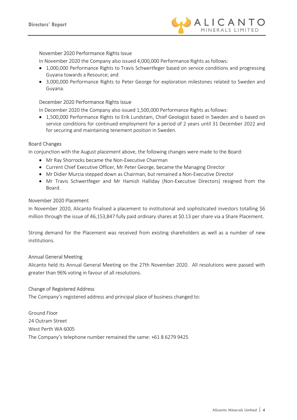

#### November 2020 Performance Rights Issue

In November 2020 the Company also issued 4,000,000 Performance Rights as follows:

- 1,000,000 Performance Rights to Travis Schwertfeger based on service conditions and progressing Guyana towards a Resource; and
- 3,000,000 Performance Rights to Peter George for exploration milestones related to Sweden and Guyana.

#### December 2020 Performance Rights Issue

In December 2020 the Company also issued 1,500,000 Performance Rights as follows:

• 1,500,000 Performance Rights to Erik Lundstam, Chief Geologist based in Sweden and is based on service conditions for continued employment for a period of 2 years until 31 December 2022 and for securing and maintaining tenement position in Sweden.

#### Board Changes

In conjunction with the August placement above, the following changes were made to the Board:

- Mr Ray Shorrocks became the Non-Executive Chairman
- Current Chief Executive Officer, Mr Peter George, became the Managing Director
- Mr Didier Murcia stepped down as Chairman, but remained a Non-Executive Director
- Mr Travis Schwertfeger and Mr Hamish Halliday (Non-Executive Directors) resigned from the Board.

#### November 2020 Placement

In November 2020, Alicanto finalised a placement to institutional and sophisticated investors totalling \$6 million through the issue of 46,153,847 fully paid ordinary shares at \$0.13 per share via a Share Placement.

Strong demand for the Placement was received from existing shareholders as well as a number of new institutions.

#### Annual General Meeting

Alicanto held its Annual General Meeting on the 27th November 2020. All resolutions were passed with greater than 96% voting in favour of all resolutions.

#### Change of Registered Address

The Company's registered address and principal place of business changed to:

Ground Floor 24 Outram Street West Perth WA 6005 The Company's telephone number remained the same: +61 8 6279 9425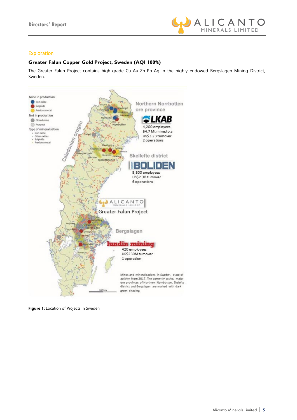

### Exploration

#### **Greater Falun Copper Gold Project, Sweden (AQI 100%)**

The Greater Falun Project contains high-grade Cu-Au-Zn-Pb-Ag in the highly endowed Bergslagen Mining District, Sweden.



**Figure 1:** Location of Projects in Sweden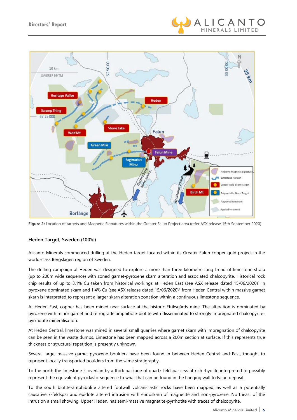



Figure 2: Location of targets and Magnetic Signatures within the Greater Falun Project area (refer ASX release 15th September 2020)<sup>1</sup>

#### **Heden Target, Sweden (100%)**

Alicanto Minerals commenced drilling at the Heden target located within its Greater Falun copper-gold project in the world-class Bergslagen region of Sweden.

The drilling campaign at Heden was designed to explore a more than three-kilometre-long trend of limestone strata (up to 200m wide sequence) with zoned garnet-pyroxene skarn alteration and associated chalcopyrite. Historical rock chip results of up to 3.1% Cu taken from historical workings at Heden East (see ASX release dated 15/06/2020)<sup>1</sup> in pyroxene dominated skarn and 1.4% Cu (see ASX release dated 15/06/2020)1 from Heden Central within massive garnet skarn is interpreted to represent a larger skarn alteration zonation within a continuous limestone sequence.

At Heden East, copper has been mined near surface at the historic Efriksgårds mine. The alteration is dominated by pyroxene with minor garnet and retrograde amphibole-biotite with disseminated to strongly impregnated chalcopyritepyrrhotite mineralisation.

At Heden Central, limestone was mined in several small quarries where garnet skarn with impregnation of chalcopyrite can be seen in the waste dumps. Limestone has been mapped across a 200m section at surface. If this represents true thickness or structural repetition is presently unknown.

Several large, massive garnet-pyroxene boulders have been found in between Heden Central and East, thought to represent locally transported boulders from the same stratigraphy.

To the north the limestone is overlain by a thick package of quartz-feldspar crystal-rich rhyolite interpreted to possibly represent the equivalent pyroclastic sequence to what that can be found in the hanging wall to Falun deposit.

To the south biotite-amphibolite altered footwall volcaniclastic rocks have been mapped, as well as a potentially causative k-feldspar and epidote altered intrusion with endoskarn of magnetite and iron-pyroxene. Northeast of the intrusion a small showing, Upper Heden, has semi-massive magnetite-pyrrhotite with traces of chalcopyrite.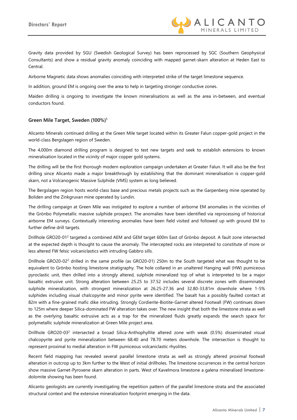

Gravity data provided by SGU (Swedish Geological Survey) has been reprocessed by SGC (Southern Geophysical Consultants) and show a residual gravity anomaly coinciding with mapped garnet-skarn alteration at Heden East to Central.

Airborne Magnetic data shows anomalies coinciding with interpreted strike of the target limestone sequence.

In addition, ground EM is ongoing over the area to help in targeting stronger conductive zones.

Maiden drilling is ongoing to investigate the known mineralisations as well as the area in-between, and eventual conductors found.

#### **Green Mile Target, Sweden (100%)1**

Alicanto Minerals continued drilling at the Green Mile target located within its Greater Falun copper-gold project in the world-class Bergslagen region of Sweden.

The 4,000m diamond drilling program is designed to test new targets and seek to establish extensions to known mineralisation located in the vicinity of major copper gold systems.

The drilling will be the first thorough modern exploration campaign undertaken at Greater Falun. It will also be the first drilling since Alicanto made a major breakthrough by establishing that the dominant mineralisation is copper-gold skarn, not a Volcanogenic Massive Sulphide (VMS) system as long believed.

The Bergslagen region hosts world-class base and precious metals projects such as the Garpenberg mine operated by Boliden and the Zinkgruvan mine operated by Lundin.

The drilling campaign at Green Mile was instigated to explore a number of airborne EM anomalies in the vicinities of the Grönbo Polymetallic massive sulphide prospect. The anomalies have been identified via reprocessing of historical airborne EM surveys. Contextually interesting anomalies have been field visited and followed up with ground EM to further define drill targets.

Drillhole GRO20-012 targeted a combined AEM and GEM target 600m East of Grönbo deposit. A fault zone intersected at the expected depth is thought to cause the anomaly. The intercepted rocks are interpreted to constitute of more or less altered FW felsic volcaniclastics with intruding Gabbro sills.

Drillhole GRO20-022 drilled in the same profile (as GRO20-01) 250m to the South targeted what was thought to be equivalent to Grönbo hosting limestone stratigraphy. The hole collared in an unaltered Hanging wall (HW) pumiceous pyroclastic unit, then drilled into a strongly altered, sulphide mineralized top of what is interpreted to be a major basaltic extrusive unit. Strong alteration between 25.25 to 37.52 includes several discrete zones with disseminated sulphide mineralization, with strongest mineralization at 26.25-27.36 and 32.80-33.81m downhole where 1-5% sulphides including visual chalcopyrite and minor pyrite were identified. The basalt has a possibly faulted contact at 82m with a fine-grained mafic dike intruding. Strongly Cordierite-Biotite-Garnet altered Footwall (FW) continues down to 125m where deeper Silica-dominated FW alteration takes over. The new insight that both the limestone strata as well as the overlying basaltic extrusive acts as a trap for the mineralized fluids greatly expands the search space for polymetallic sulphide mineralization at Green Mile project area.

Drillhole GRO20-032 intersected a broad Silica-Anthophyllite altered zone with weak (0.5%) disseminated visual chalcopyrite and pyrite mineralization between 68.40 and 78.70 meters downhole. The intersection is thought to represent proximal to medial alteration in FW pumiceous volcaniclastic rhyolites.

Recent field mapping has revealed several parallel limestone strata as well as strongly altered proximal footwall alteration in outcrop up to 3km further to the West of initial drillholes. The limestone occurrences in the central horizon show massive Garnet-Pyroxene skarn alteration in parts. West of Kavelmora limestone a galena mineralised limestonedolomite showing has been found.

Alicanto geologists are currently investigating the repetition pattern of the parallel limestone strata and the associated structural context and the extensive mineralization footprint emerging in the data.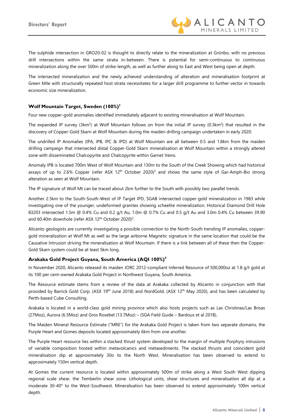

The sulphide intersection in GRO20-02 is thought to directly relate to the mineralization at Grönbo, with no previous drill intersections within the same strata in-between. There is potential for semi-continuous to continuous mineralization along the over 500m of strike-length, as well as further along to East and West being open at depth.

The intersected mineralization and the newly achieved understanding of alteration and mineralisation footprint at Green Mile with structurally repeated host strata necessitates for a larger drill programme to further vector in towards economic size mineralization.

#### **Wolf Mountain Target, Sweden (100%)<sup>3</sup>**

Four new copper-gold anomalies identified immediately adjacent to existing mineralisation at Wolf Mountain.

The expanded IP survey (3km<sup>2</sup>) at Wolf Mountain follows on from the initial IP survey (0.3km<sup>2</sup>) that resulted in the discovery of Copper-Gold Skarn at Wolf Mountain during the maiden drilling campaign undertaken in early 2020.

The undrilled IP Anomalies (IPA, IPB, IPC & IPD) at Wolf Mountain are all between 0.5 and 1.8km from the maiden drilling campaign that intersected distal Copper-Gold Skarn mineralisation at Wolf Mountain within a strongly altered zone with disseminated Chalcopyrite and Chalcopyrite within Garnet Veins.

Anomaly IPB is located 700m West of Wolf Mountain and 130m to the South of the Creek Showing which had historical assays of up to 2.6% Copper (refer ASX  $12<sup>th</sup>$  October 2020)<sup>3</sup> and shows the same style of Gar-Amph-Bio strong alteration as seen at Wolf Mountain.

The IP signature of Wolf Mt can be traced about 2km further to the South with possibly two parallel trends.

Another 2.5km to the South-South-West of IP Target IPD, SGAB intersected copper-gold mineralization in 1983 while investigating one of the younger, undeformed granites showing scheelite mineralization. Historical Diamond Drill Hole 83203 intersected 1.5m @ 0.4% Cu and 0.2 g/t Au, 1.0m @ 0.7% Cu and 0.5 g/t Au and 3.0m 0.4% Cu between 39.90 and 60.40m downhole (refer ASX 12<sup>th</sup> October 2020)<sup>3</sup>.

Alicanto geologists are currently investigating a possible connection to the North-South trending IP anomalies, coppergold mineralization at Wolf Mt as well as the large airborne Magnetic signature in the same location that could be the Causative Intrusion driving the mineralisation at Wolf Mountain. If there is a link between all of these then the Copper-Gold Skarn system could be at least 5km long.

#### **Arakaka Gold Project Guyana, South America (AQI 100%)<sup>4</sup>**

In November 2020, Alicanto released its maiden JORC 2012-compliant Inferred Resource of 500,000oz at 1.8 g/t gold at its 100 per cent-owned Arakaka Gold Project in Northwest Guyana, South America.

The Resource estimate stems from a review of the data at Arakaka collected by Alicanto in conjunction with that provided by Barrick Gold Corp. (ASX 19<sup>th</sup> June 2018) and NordGold, (ASX 12<sup>th</sup> May 2020), and has been calculated by Perth-based Cube Consulting.

Arakaka is located in a world-class gold mining province which also hosts projects such as Las Christinas/Las Brisas (27Moz), Aurora (6.5Moz) and Gros Rosebel (13.7Moz) – (SGA Field Guide – Bardoux et al 2018).

The Maiden Mineral Resource Estimate ("MRE") for the Arakaka Gold Project is taken from two separate domains, the Purple Heart and Gomes deposits located approximately 6km from one another.

The Purple Heart resource lies within a stacked thrust system developed to the margin of multiple Porphyry intrusions of variable composition hosted within metavolcanics and metasediments. The stacked thrusts and coincident gold mineralisation dip at approximately 30o to the North West. Mineralisation has been observed to extend to approximately 150m vertical depth.

At Gomes the current resource is located within approximately 500m of strike along a West South West dipping regional scale shear, the Temberlin shear zone. Lithological units, shear structures and mineralisation all dip at a moderate 30-40° to the West-Southwest. Mineralisation has been observed to extend approximately 100m vertical depth.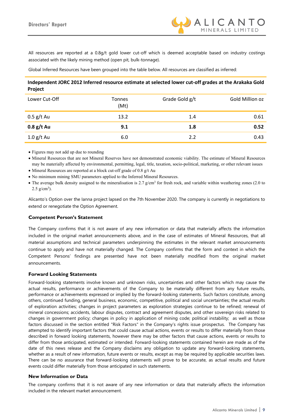

All resources are reported at a 0.8g/t gold lower cut-off which is deemed acceptable based on industry costings associated with the likely mining method (open pit, bulk-tonnage).

Global Inferred Resources have been grouped into the table below. All resources are classified as inferred:

#### **Independent JORC 2012 Inferred resource estimate at selected lower cut-off grades at the Arakaka Gold Project**

| Lower Cut-Off | Tonnes<br>(Mt) | Grade Gold g/t | Gold Million oz |
|---------------|----------------|----------------|-----------------|
| $0.5$ g/t Au  | 13.2           | 1.4            | 0.61            |
| $0.8$ g/t Au  | 9.1            | 1.8            | 0.52            |
| $1.0$ g/t Au  | 6.0            | 2.2            | 0.43            |

• Figures may not add up due to rounding

• Mineral Resources that are not Mineral Reserves have not demonstrated economic viability. The estimate of Mineral Resources may be materially affected by environmental, permitting, legal, title, taxation, socio-political, marketing, or other relevant issues

- Mineral Resources are reported at a block cut-off grade of 0.8 g/t Au
- No minimum mining SMU parameters applied to the Inferred Mineral Resources.
- The average bulk density assigned to the mineralisation is  $2.7$  g/cm<sup>3</sup> for fresh rock, and variable within weathering zones (2.0 to  $2.5 \text{ g/cm}^3$ ).

Alicanto's Option over the Ianna project lapsed on the 7th November 2020. The company is currently in negotiations to extend or renegotiate the Option Agreement.

#### **Competent Person's Statement**

The Company confirms that it is not aware of any new information or data that materially affects the information included in the original market announcements above, and in the case of estimates of Mineral Resources, that all material assumptions and technical parameters underpinning the estimates in the relevant market announcements continue to apply and have not materially changed. The Company confirms that the form and context in which the Competent Persons' findings are presented have not been materially modified from the original market announcements.

#### **Forward Looking Statements**

Forward-looking statements involve known and unknown risks, uncertainties and other factors which may cause the actual results, performance or achievements of the Company to be materially different from any future results, performance or achievements expressed or implied by the forward-looking statements. Such factors constitute, among others, continued funding, general business, economic, competitive, political and social uncertainties; the actual results of exploration activities; changes in project parameters as exploration strategies continue to be refined; renewal of mineral concessions; accidents, labour disputes, contract and agreement disputes, and other sovereign risks related to changes in government policy; changes in policy in application of mining code; political instability; as well as those factors discussed in the section entitled "Risk Factors" in the Company's rights issue prospectus. The Company has attempted to identify important factors that could cause actual actions, events or results to differ materially from those described in forward looking statements, however there may be other factors that cause actions, events or results to differ from those anticipated, estimated or intended. Forward-looking statements contained herein are made as of the date of this news release and the Company disclaims any obligation to update any forward-looking statements, whether as a result of new information, future events or results, except as may be required by applicable securities laws. There can be no assurance that forward-looking statements will prove to be accurate, as actual results and future events could differ materially from those anticipated in such statements.

#### **New Information or Data**

The company confirms that it is not aware of any new information or data that materially affects the information included in the relevant market announcement.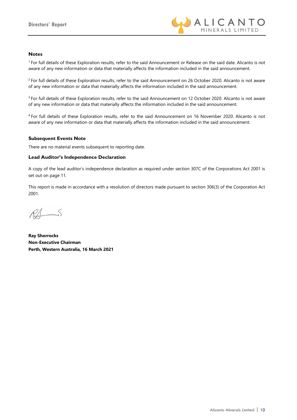

#### **Notes**

1 For full details of these Exploration results, refer to the said Announcement or Release on the said date. Alicanto is not aware of any new information or data that materially affects the information included in the said announcement.

<sup>2</sup> For full details of these Exploration results, refer to the said Announcement on 26 October 2020. Alicanto is not aware of any new information or data that materially affects the information included in the said announcement.

<sup>3</sup> For full details of these Exploration results, refer to the said Announcement on 12 October 2020. Alicanto is not aware of any new information or data that materially affects the information included in the said announcement.

4 For full details of these Exploration results, refer to the said Announcement on 16 November 2020. Alicanto is not aware of any new information or data that materially affects the information included in the said announcement.

#### **Subsequent Events Note**

There are no material events subsequent to reporting date.

#### **Lead Auditor's Independence Declaration**

A copy of the lead auditor's independence declaration as required under section 307C of the Corporations Act 2001 is set out on page 11.

This report is made in accordance with a resolution of directors made pursuant to section 306(3) of the Corporation Act 2001.

 $R\Lambda$ 

**Ray Shorrocks Non-Executive Chairman Perth, Western Australia, 16 March 2021**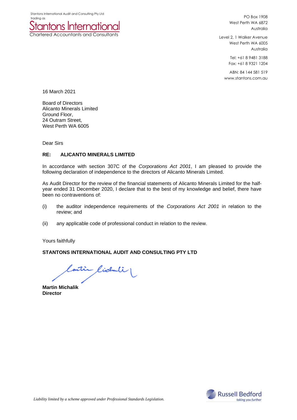

PO Box 1908 West Perth WA 6872 Australia

Level 2, 1 Walker Avenue West Perth WA 6005 Australia

> Tel: +61 8 9481 3188 Fax: +61 8 9321 1204

ABN: 84 144 581 519 www.stantons.com.au

16 March 2021

Board of Directors Alicanto Minerals Limited Ground Floor, 24 Outram Street, West Perth WA 6005

Dear Sirs

#### **RE: ALICANTO MINERALS LIMITED**

In accordance with section 307C of the *Corporations Act 2001*, I am pleased to provide the following declaration of independence to the directors of Alicanto Minerals Limited.

As Audit Director for the review of the financial statements of Alicanto Minerals Limited for the halfyear ended 31 December 2020, I declare that to the best of my knowledge and belief, there have been no contraventions of:

- (i) the auditor independence requirements of the *Corporations Act 2001* in relation to the review; and
- (ii) any applicable code of professional conduct in relation to the review.

Yours faithfully

#### **STANTONS INTERNATIONAL AUDIT AND CONSULTING PTY LTD**

Contin Cichuli

**Martin Michalik Director**

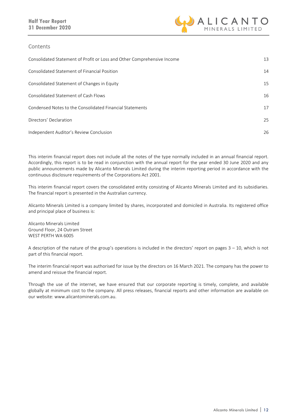

#### **Contents**

| Consolidated Statement of Profit or Loss and Other Comprehensive Income | 13 |
|-------------------------------------------------------------------------|----|
| Consolidated Statement of Financial Position                            | 14 |
| Consolidated Statement of Changes in Equity                             | 15 |
| Consolidated Statement of Cash Flows                                    | 16 |
| Condensed Notes to the Consolidated Financial Statements                | 17 |
| Directors' Declaration                                                  | 25 |
| Independent Auditor's Review Conclusion                                 | 26 |

This interim financial report does not include all the notes of the type normally included in an annual financial report. Accordingly, this report is to be read in conjunction with the annual report for the year ended 30 June 2020 and any public announcements made by Alicanto Minerals Limited during the interim reporting period in accordance with the continuous disclosure requirements of the Corporations Act 2001.

This interim financial report covers the consolidated entity consisting of Alicanto Minerals Limited and its subsidiaries. The financial report is presented in the Australian currency.

Alicanto Minerals Limited is a company limited by shares, incorporated and domiciled in Australia. Its registered office and principal place of business is:

Alicanto Minerals Limited Ground Floor, 24 Outram Street WEST PERTH WA 6005

A description of the nature of the group's operations is included in the directors' report on pages 3 – 10, which is not part of this financial report.

The interim financial report was authorised for issue by the directors on 16 March 2021. The company has the power to amend and reissue the financial report.

Through the use of the internet, we have ensured that our corporate reporting is timely, complete, and available globally at minimum cost to the company. All press releases, financial reports and other information are available on our website: www.alicantominerals.com.au.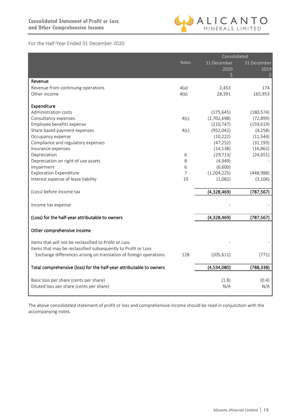

## For the Half-Year Ended 31 December 2020

|                                                                                                                        |              | Consolidated  |             |  |
|------------------------------------------------------------------------------------------------------------------------|--------------|---------------|-------------|--|
|                                                                                                                        | <b>Notes</b> | 31 December   | 31 December |  |
|                                                                                                                        |              | 2020          | 2019        |  |
|                                                                                                                        |              | \$            | \$          |  |
| Revenue                                                                                                                |              |               |             |  |
| Revenue from continuing operations                                                                                     | 4(a)         | 2,453         | 174         |  |
| Other income                                                                                                           | 4(b)         | 28,391        | 165,953     |  |
| Expenditure                                                                                                            |              |               |             |  |
| Administration costs                                                                                                   |              | (175, 645)    | (180, 574)  |  |
| Consultancy expenses                                                                                                   | 4(c)         | (1,702,698)   | (72, 899)   |  |
| Employee benefits expense                                                                                              |              | (210, 747)    | (159, 619)  |  |
| Share based payment expenses                                                                                           | 4(c)         | (952, 042)    | (4, 258)    |  |
| Occupancy expense                                                                                                      |              | (10, 222)     | (11, 544)   |  |
| Compliance and regulatory expenses                                                                                     |              | (47, 252)     | (31, 193)   |  |
| Insurance expenses                                                                                                     |              | (14, 138)     | (16, 862)   |  |
| Depreciation                                                                                                           | 6            | (29, 713)     | (24, 651)   |  |
| Depreciation on right of use assets                                                                                    | 8            | (4,949)       |             |  |
| Impairment                                                                                                             | 6            | (6,600)       |             |  |
| <b>Exploration Expenditure</b>                                                                                         | 7            | (1, 204, 225) | (448,988)   |  |
| Interest expense of lease liability                                                                                    | 10           | (1,082)       | (3, 106)    |  |
| (Loss) before income tax                                                                                               |              | (4,328,469)   | (787, 567)  |  |
| Income tax expense                                                                                                     |              |               |             |  |
|                                                                                                                        |              |               |             |  |
| (Loss) for the half-year attributable to owners                                                                        |              | (4,328,469)   | (787, 567)  |  |
| Other comprehensive income                                                                                             |              |               |             |  |
| Items that will not be reclassified to Profit or Loss<br>Items that may be reclassified subsequently to Profit or Loss |              |               |             |  |
| Exchange differences arising on translation of foreign operations                                                      | 12B          | (205, 611)    | (771)       |  |
| Total comprehensive (loss) for the half-year attributable to owners                                                    |              | (4,534,080)   | (788, 338)  |  |
| Basic loss per share (cents per share)                                                                                 |              | (1.8)         | (0.4)       |  |
| Diluted loss per share (cents per share)                                                                               |              | N/A           | N/A         |  |

The above consolidated statement of profit or loss and comprehensive income should be read in conjunction with the accompanying notes.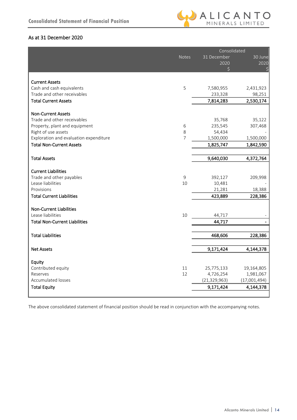

# As at 31 December 2020

|                                                          |              | Consolidated         |              |
|----------------------------------------------------------|--------------|----------------------|--------------|
|                                                          | <b>Notes</b> | 31 December          | 30 June      |
|                                                          |              | 2020                 | 2020         |
|                                                          |              | $\zeta$              | Ś            |
|                                                          |              |                      |              |
| <b>Current Assets</b>                                    |              |                      |              |
| Cash and cash equivalents<br>Trade and other receivables | 5            | 7,580,955<br>233,328 | 2,431,923    |
|                                                          |              |                      | 98,251       |
| <b>Total Current Assets</b>                              |              | 7,814,283            | 2,530,174    |
| <b>Non-Current Assets</b>                                |              |                      |              |
| Trade and other receivables                              |              | 35,768               | 35,122       |
| Property, plant and equipment                            | 6            | 235,545              | 307,468      |
| Right of use assets                                      | 8            | 54,434               |              |
| Exploration and evaluation expenditure                   | 7            | 1,500,000            | 1,500,000    |
| <b>Total Non-Current Assets</b>                          |              | 1,825,747            | 1,842,590    |
|                                                          |              |                      |              |
| <b>Total Assets</b>                                      |              | 9,640,030            | 4,372,764    |
|                                                          |              |                      |              |
| <b>Current Liabilities</b>                               |              |                      |              |
| Trade and other payables                                 | 9            | 392,127              | 209,998      |
| Lease liabilities                                        | 10           | 10,481               |              |
| Provisions                                               |              | 21,281               | 18,388       |
| <b>Total Current Liabilities</b>                         |              | 423,889              | 228,386      |
|                                                          |              |                      |              |
| <b>Non-Current Liabilities</b><br>Lease liabilities      | 10           | 44,717               |              |
| <b>Total Non-Current Liabilities</b>                     |              | 44,717               |              |
|                                                          |              |                      |              |
| <b>Total Liabilities</b>                                 |              | 468,606              | 228,386      |
|                                                          |              |                      |              |
| <b>Net Assets</b>                                        |              | 9,171,424            | 4,144,378    |
|                                                          |              |                      |              |
| Equity                                                   |              |                      |              |
| Contributed equity                                       | 11           | 25,775,133           | 19,164,805   |
| Reserves                                                 | 12           | 4,726,254            | 1,981,067    |
| <b>Accumulated losses</b>                                |              | (21, 329, 963)       | (17,001,494) |
| <b>Total Equity</b>                                      |              | 9,171,424            | 4,144,378    |
|                                                          |              |                      |              |

The above consolidated statement of financial position should be read in conjunction with the accompanying notes.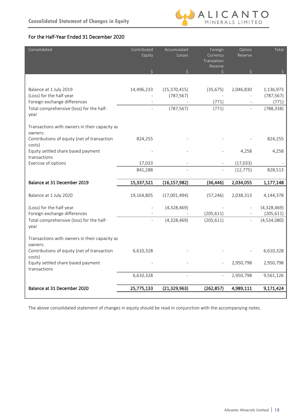

# For the Half-Year Ended 31 December 2020

| Consolidated                                             | Contributed<br>Equity | Accumulated<br>Losses        | Foreign<br>Currency<br>Translation<br>Reserve | Option<br>Reserve | Total                   |
|----------------------------------------------------------|-----------------------|------------------------------|-----------------------------------------------|-------------------|-------------------------|
|                                                          |                       | $\zeta$                      | Ś                                             |                   |                         |
|                                                          |                       |                              |                                               |                   |                         |
| Balance at 1 July 2019<br>(Loss) for the half-year       | 14,496,233            | (15, 370, 415)<br>(787, 567) | (35, 675)                                     | 2,046,830         | 1,136,973<br>(787, 567) |
| Foreign exchange differences                             |                       |                              | (771)                                         |                   | (771)                   |
| Total comprehensive (loss) for the half-<br>year         |                       | (787, 567)                   | (771)                                         |                   | (788, 338)              |
| Transactions with owners in their capacity as<br>owners: |                       |                              |                                               |                   |                         |
| Contributions of equity (net of transaction<br>costs)    | 824,255               |                              |                                               |                   | 824,255                 |
| Equity settled share based payment<br>transactions       |                       |                              |                                               | 4,258             | 4,258                   |
| Exercise of options                                      | 17,033                |                              |                                               | (17, 033)         |                         |
|                                                          | 841,288               |                              |                                               | (12, 775)         | 828,513                 |
| Balance at 31 December 2019                              | 15,337,521            | (16, 157, 982)               | (36, 446)                                     | 2,034,055         | 1,177,148               |
|                                                          |                       |                              |                                               |                   |                         |
| Balance at 1 July 2020                                   | 19,164,805            | (17,001,494)                 | (57, 246)                                     | 2,038,313         | 4,144,378               |
| (Loss) for the half-year                                 |                       | (4,328,469)                  |                                               |                   | (4,328,469)             |
| Foreign exchange differences                             |                       |                              | (205, 611)                                    |                   | (205, 611)              |
| Total comprehensive (loss) for the half-<br>year         |                       | (4,328,469)                  | (205, 611)                                    |                   | (4,534,080)             |
| Transactions with owners in their capacity as<br>owners: |                       |                              |                                               |                   |                         |
| Contributions of equity (net of transaction<br>costs)    | 6,610,328             |                              |                                               |                   | 6,610,328               |
| Equity settled share based payment<br>transactions       |                       |                              |                                               | 2,950,798         | 2,950,798               |
|                                                          | 6,610,328             | $\overline{\phantom{a}}$     | $\overline{\phantom{a}}$                      | 2,950,798         | 9,561,126               |
| Balance at 31 December 2020                              | 25,775,133            | (21, 329, 963)               | (262, 857)                                    | 4,989,111         | 9,171,424               |
|                                                          |                       |                              |                                               |                   |                         |

The above consolidated statement of changes in equity should be read in conjunction with the accompanying notes.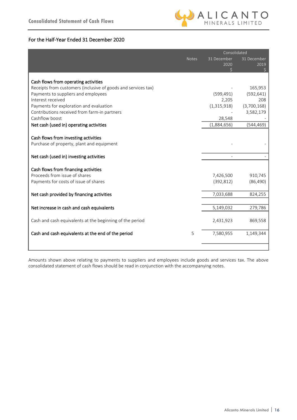

### For the Half-Year Ended 31 December 2020

|                                                               | Consolidated |             |  |
|---------------------------------------------------------------|--------------|-------------|--|
| <b>Notes</b>                                                  | 31 December  | 31 December |  |
|                                                               | 2020         | 2019        |  |
|                                                               | Ś.           | \$          |  |
| Cash flows from operating activities                          |              |             |  |
| Receipts from customers (inclusive of goods and services tax) |              | 165,953     |  |
| Payments to suppliers and employees                           | (599, 491)   | (592, 641)  |  |
| Interest received                                             | 2,205        | 208         |  |
| Payments for exploration and evaluation                       | (1,315,918)  | (3,700,168) |  |
| Contributions received from farm-in partners                  |              | 3,582,179   |  |
| Cashflow boost                                                | 28,548       |             |  |
| Net cash (used in) operating activities                       | (1,884,656)  | (544, 469)  |  |
|                                                               |              |             |  |
| Cash flows from investing activities                          |              |             |  |
| Purchase of property, plant and equipment                     |              |             |  |
|                                                               |              |             |  |
| Net cash (used in) investing activities                       |              |             |  |
|                                                               |              |             |  |
| Cash flows from financing activities                          |              |             |  |
| Proceeds from issue of shares                                 | 7,426,500    | 910,745     |  |
| Payments for costs of issue of shares                         | (392, 812)   | (86, 490)   |  |
|                                                               |              |             |  |
| Net cash provided by financing activities                     | 7,033,688    | 824,255     |  |
|                                                               |              |             |  |
| Net increase in cash and cash equivalents                     | 5,149,032    | 279,786     |  |
|                                                               |              |             |  |
| Cash and cash equivalents at the beginning of the period      | 2,431,923    | 869,558     |  |
|                                                               |              |             |  |
| Cash and cash equivalents at the end of the period<br>5       | 7,580,955    | 1,149,344   |  |
|                                                               |              |             |  |
|                                                               |              |             |  |

Amounts shown above relating to payments to suppliers and employees include goods and services tax. The above consolidated statement of cash flows should be read in conjunction with the accompanying notes.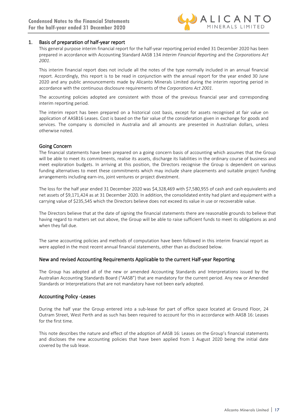

#### 1. Basis of preparation of half-year report

This general purpose interim financial report for the half-year reporting period ended 31 December 2020 has been prepared in accordance with Accounting Standard AASB 134 *Interim Financial Reporting* and the *Corporations Act 2001*.

This interim financial report does not include all the notes of the type normally included in an annual financial report. Accordingly, this report is to be read in conjunction with the annual report for the year ended 30 June 2020 and any public announcements made by Alicanto Minerals Limited during the interim reporting period in accordance with the continuous disclosure requirements of the *Corporations Act 2001*.

The accounting policies adopted are consistent with those of the previous financial year and corresponding interim reporting period.

The interim report has been prepared on a historical cost basis, except for assets recognised at fair value on application of AASB16 Leases. Cost is based on the fair value of the consideration given in exchange for goods and services. The company is domiciled in Australia and all amounts are presented in Australian dollars, unless otherwise noted.

#### Going Concern

The financial statements have been prepared on a going concern basis of accounting which assumes that the Group will be able to meet its commitments, realise its assets, discharge its liabilities in the ordinary course of business and meet exploration budgets. In arriving at this position, the Directors recognise the Group is dependent on various funding alternatives to meet these commitments which may include share placements and suitable project funding arrangements including earn-ins, joint ventures or project divestment.

The loss for the half year ended 31 December 2020 was \$4,328,469 with \$7,580,955 of cash and cash equivalents and net assets of \$9,171,424 as at 31 December 2020. In addition, the consolidated entity had plant and equipment with a carrying value of \$235,545 which the Directors believe does not exceed its value in use or recoverable value.

The Directors believe that at the date of signing the financial statements there are reasonable grounds to believe that having regard to matters set out above, the Group will be able to raise sufficient funds to meet its obligations as and when they fall due.

The same accounting policies and methods of computation have been followed in this interim financial report as were applied in the most recent annual financial statements, other than as disclosed below.

#### New and revised Accounting Requirements Applicable to the current Half-year Reporting

The Group has adopted all of the new or amended Accounting Standards and Interpretations issued by the Australian Accounting Standards Board ("AASB") that are mandatory for the current period. Any new or Amended Standards or Interpretations that are not mandatory have not been early adopted.

#### Accounting Policy -Leases

During the half year the Group entered into a sub-lease for part of office space located at Ground Floor, 24 Outram Street, West Perth and as such has been required to account for this in accordance with AASB 16: Leases for the first time.

This note describes the nature and effect of the adoption of AASB 16: Leases on the Group's financial statements and discloses the new accounting policies that have been applied from 1 August 2020 being the initial date covered by the sub lease.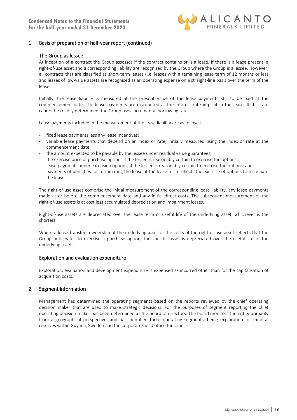

### 1. Basis of preparation of half-year report (continued)

#### The Group as lessee

At inception of a contract the Group assesses if the contract contains or is a lease. If there is a lease present, a right-of-use asset and a corresponding liability are recognised by the Group where the Group is a lessee. However, all contracts that are classified as short-term leases (i.e. leases with a remaining lease term of 12 months or less and leases of low-value assets are recognised as an operating expense on a straight-line basis over the term of the lease.

Initially, the lease liability is measured at the present value of the lease payments still to be paid at the commencement date. The lease payments are discounted at the interest rate implicit in the lease. If this rate cannot be readily determined, the Group uses incremental borrowing rate.

Lease payments included in the measurement of the lease liability are as follows;

- fixed lease payments less any lease incentives;
- variable lease payments that depend on an index or rate, initially measured using the index or rate at the commencement date;
- the amount expected to be payable by the lessee under residual value guarantees;
- the exercise price of purchase options if the lessee is reasonably certain to exercise the options;
- lease payments under extension options, if the lessee is reasonably certain to exercise the options; and
- payments of penalties for terminating the lease, if the lease term reflects the exercise of options to terminate the lease.

The right-of-use asses comprise the initial measurement of the corresponding lease liability, any lease payments made at or before the commencement date and any initial direct costs. The subsequent measurement of the right-of-use assets is at cost less accumulated depreciation and impairment losses.

Right-of-use assets are depreciated over the lease term or useful life of the underlying asset, whichever is the shortest.

Where a lease transfers ownership of the underlying asset or the costs of the right-of-use asset reflects that the Group anticipates to exercise a purchase option, the specific asset is depreciated over the useful life of the underlying asset.

#### Exploration and evaluation expenditure

Exploration, evaluation and development expenditure is expensed as incurred other than for the capitalisation of acquisition costs.

#### 2. Segment information

Management has determined the operating segments based on the reports reviewed by the chief operating decision maker that are used to make strategic decisions. For the purposes of segment reporting the chief operating decision maker has been determined as the board of directors. The board monitors the entity primarily from a geographical perspective, and has identified three operating segments, being exploration for mineral reserves within Guyana, Sweden and the corporate/head office function.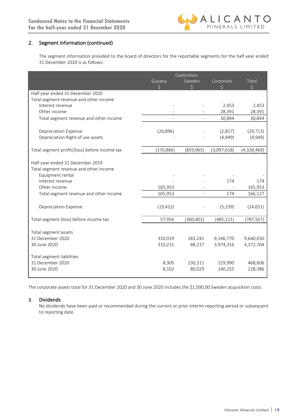# 2. Segment information (continued)

The segment information provided to the board of directors for the reportable segments for the half-year ended 31 December 2020 is as follows:

|                                                                                                | Exploration        |                   |                        |                        |
|------------------------------------------------------------------------------------------------|--------------------|-------------------|------------------------|------------------------|
|                                                                                                | Guyana             | Sweden<br>\$      | Corporate<br>$\zeta$   | Total<br>$\zeta$       |
| Half-year ended 31 December 2020                                                               |                    |                   |                        |                        |
| Total segment revenue and other income                                                         |                    |                   |                        |                        |
| Interest revenue                                                                               |                    |                   | 2,453                  | 2,453                  |
| Other income                                                                                   |                    |                   | 28,391                 | 28,391                 |
| Total segment revenue and other income                                                         |                    |                   | 30,844                 | 30,844                 |
|                                                                                                |                    |                   |                        |                        |
| <b>Depreciation Expense</b>                                                                    | (26, 896)          |                   | (2,817)                | (29, 713)              |
| Depreciation Right of use assets                                                               |                    |                   | (4,949)                | (4,949)                |
| Total segment profit/(loss) before income tax                                                  | (370, 886)         | (859, 965)        | (3,097,618)            | (4,328,469)            |
| Half-year ended 31 December 2019<br>Total segment revenue and other income<br>Equipment rental |                    |                   |                        |                        |
| Interest revenue                                                                               |                    |                   | 174                    | 174                    |
| Other income                                                                                   | 165,953            |                   |                        | 165,953                |
| Total segment revenue and other income                                                         | 165,953            | $\overline{a}$    | 174                    | 166,127                |
| <b>Depreciation Expense</b>                                                                    | (19, 412)          |                   | (5,239)                | (24, 651)              |
| Total segment (loss) before income tax                                                         | 57,956             | (360, 402)        | (485, 121)             | (787, 567)             |
| Total segment assets<br>31 December 2020<br>30 June 2020                                       | 310,019<br>310,231 | 183,241<br>88,217 | 9,146,770<br>3,974,316 | 9,640,030<br>4,372,764 |
| Total segment liabilities<br>31 December 2020<br>30 June 2020                                  | 8,305<br>8,102     | 230,311<br>80,029 | 229,990<br>140,255     | 468,606<br>228,386     |

The corporate assets total for 31 December 2020 and 30 June 2020 includes the \$1,500,00 Sweden acquisition costs.

#### 3. Dividends

No dividends have been paid or recommended during the current or prior interim reporting period or subsequent to reporting date.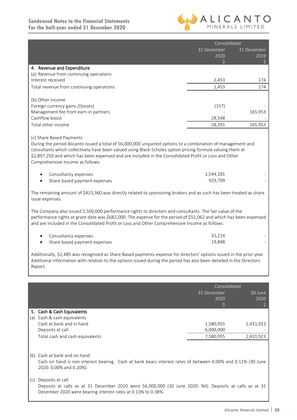I



|                                                                                                                                                                                                                                                                                                                                  | Consolidated |             |  |
|----------------------------------------------------------------------------------------------------------------------------------------------------------------------------------------------------------------------------------------------------------------------------------------------------------------------------------|--------------|-------------|--|
|                                                                                                                                                                                                                                                                                                                                  | 31 December  | 31 December |  |
|                                                                                                                                                                                                                                                                                                                                  | 2020         | 2019        |  |
|                                                                                                                                                                                                                                                                                                                                  | Ś.           | \$          |  |
| 4. Revenue and Expenditure                                                                                                                                                                                                                                                                                                       |              |             |  |
| (a) Revenue from continuing operations                                                                                                                                                                                                                                                                                           |              |             |  |
| Interest received                                                                                                                                                                                                                                                                                                                | 2,453        | 174         |  |
| Total revenue from continuing operations                                                                                                                                                                                                                                                                                         | 2,453        | 174         |  |
|                                                                                                                                                                                                                                                                                                                                  |              |             |  |
| (b) Other income                                                                                                                                                                                                                                                                                                                 |              |             |  |
| Foreign currency gains /(losses)                                                                                                                                                                                                                                                                                                 | (157)        |             |  |
| Management fee from earn-in partners                                                                                                                                                                                                                                                                                             |              | 165,953     |  |
| Cashflow boost                                                                                                                                                                                                                                                                                                                   | 28,548       |             |  |
| Total other income                                                                                                                                                                                                                                                                                                               | 28,391       | 165,953     |  |
| \$2,897,250 and which has been expensed and are included in the Consolidated Profit or Loss and Other<br>Comprehensive Income as follows:                                                                                                                                                                                        |              |             |  |
| Consultancy expenses                                                                                                                                                                                                                                                                                                             | 1,544,181    |             |  |
| Share based payment expenses                                                                                                                                                                                                                                                                                                     | 929,709      |             |  |
| The remaining amount of \$423,360 was directly related to sponsoring brokers and as such has been treated as share<br>issue expenses.                                                                                                                                                                                            |              |             |  |
| The Company also issued 5,500,000 performance rights to directors and consultants. The fair value of the<br>performance rights at grant date was \$682,000. The expense for the period of \$51,062 and which has been expensed<br>and are included in the Consolidated Profit or Loss and Other Comprehensive Income as follows: |              |             |  |
| Consultancy expenses                                                                                                                                                                                                                                                                                                             | 31,214       |             |  |
| Share based payment expenses                                                                                                                                                                                                                                                                                                     | 19,848       |             |  |
| Additionally, \$2,485 was recognised as Share Based payments expense for directors' options issued in the prior year.<br>$\mathbf{r}$ , and $\mathbf{r}$ , and $\mathbf{r}$ , and $\mathbf{r}$ , and $\mathbf{r}$ , and $\mathbf{r}$                                                                                             |              |             |  |

Additional information with relation to the options issued during the period has also been detailed in the Directors Report.

|     |                                                                                                                                                                           | Consolidated |           |
|-----|---------------------------------------------------------------------------------------------------------------------------------------------------------------------------|--------------|-----------|
|     |                                                                                                                                                                           | 31 December  | 30 June   |
|     |                                                                                                                                                                           | 2020         | 2020      |
|     |                                                                                                                                                                           |              |           |
|     | 5. Cash & Cash Equivalents                                                                                                                                                |              |           |
| (a) | Cash & cash equivalents                                                                                                                                                   |              |           |
|     | Cash at bank and in hand                                                                                                                                                  | 1,580,955    | 2,431,923 |
|     | Deposits at call                                                                                                                                                          | 6,000,000    |           |
|     | Total cash and cash equivalents                                                                                                                                           | 7,580,955    | 2,431,923 |
|     |                                                                                                                                                                           |              |           |
|     | (b) Cash at bank and on hand                                                                                                                                              |              |           |
|     | Cash on hand is non-interest bearing. Cash at bank bears interest rates of between 0.00% and 0.11% (30 June                                                               |              |           |
|     | 2020: 0.00% and 0.20%).                                                                                                                                                   |              |           |
| (c) | Deposits at call                                                                                                                                                          |              |           |
|     | Deposits at calls as at 31 December 2020 were \$6,000,000 (30 June 2020: Nil). Deposits at calls as at 31<br>December 2020 were bearing interest rates at 0.13% to 0.38%. |              |           |
|     |                                                                                                                                                                           |              |           |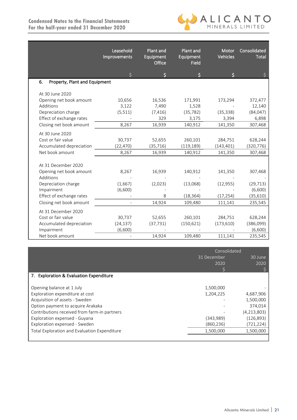

|                                     | Leasehold<br>Improvements | Plant and<br>Equipment<br>Office | Plant and<br>Equipment<br>Field | Motor<br><b>Vehicles</b> | Consolidated<br><b>Total</b> |
|-------------------------------------|---------------------------|----------------------------------|---------------------------------|--------------------------|------------------------------|
|                                     | \$                        | \$                               | S                               |                          | S                            |
| Property, Plant and Equipment<br>6. |                           |                                  |                                 |                          |                              |
|                                     |                           |                                  |                                 |                          |                              |
| At 30 June 2020                     |                           |                                  |                                 |                          |                              |
| Opening net book amount             | 10,656                    | 16,536                           | 171,991                         | 173,294                  | 372,477                      |
| Additions                           | 3,122                     | 7,490                            | 1,528                           |                          | 12,140                       |
| Depreciation charge                 | (5, 511)                  | (7, 416)                         | (35, 782)                       | (35, 338)                | (84, 047)                    |
| Effect of exchange rates            |                           | 329                              | 3,175                           | 3,394                    | 6,898                        |
| Closing net book amount             | 8,267                     | 16,939                           | 140,912                         | 141,350                  | 307,468                      |
| At 30 June 2020                     |                           |                                  |                                 |                          |                              |
| Cost or fair value                  | 30,737                    | 52,655                           | 260,101                         | 284,751                  | 628,244                      |
| Accumulated depreciation            | (22, 470)                 | (35, 716)                        | (119, 189)                      | (143, 401)               | (320, 776)                   |
| Net book amount                     | 8,267                     | 16,939                           | 140,912                         | 141,350                  | 307,468                      |
|                                     |                           |                                  |                                 |                          |                              |
| At 31 December 2020                 |                           |                                  |                                 |                          |                              |
| Opening net book amount             | 8,267                     | 16,939                           | 140,912                         | 141,350                  | 307,468                      |
| Additions                           |                           |                                  |                                 |                          |                              |
| Depreciation charge                 | (1,667)                   | (2,023)                          | (13,068)                        | (12, 955)                | (29, 713)                    |
| Impairment                          | (6,600)                   |                                  |                                 |                          | (6,600)                      |
| Effect of exchange rates            |                           | 8                                | (18, 364)                       | (17, 254)                | (35, 610)                    |
| Closing net book amount             | $\overline{\phantom{a}}$  | 14,924                           | 109,480                         | 111,141                  | 235,545                      |
| At 31 December 2020                 |                           |                                  |                                 |                          |                              |
| Cost or fair value                  | 30,737                    | 52,655                           | 260,101                         | 284,751                  | 628,244                      |
| Accumulated depreciation            | (24, 137)                 | (37, 731)                        | (150, 621)                      | (173, 610)               | (386,099)                    |
| Impairment                          | (6,600)                   |                                  |                                 |                          | (6,600)                      |
|                                     |                           |                                  |                                 |                          |                              |
| Net book amount                     |                           | 14,924                           | 109,480                         | 111,141                  | 235,545                      |

|                                              | Consolidated |             |  |
|----------------------------------------------|--------------|-------------|--|
|                                              | 31 December  | 30 June     |  |
|                                              | 2020         | 2020        |  |
|                                              |              |             |  |
| 7. Exploration & Evaluation Expenditure      |              |             |  |
|                                              |              |             |  |
| Opening balance at 1 July                    | 1,500,000    |             |  |
| Exploration expenditure at cost              | 1,204,225    | 4,687,906   |  |
| Acquisition of assets - Sweden               |              | 1,500,000   |  |
| Option payment to acquire Arakaka            |              | 374,014     |  |
| Contributions received from farm-in partners |              | (4,213,803) |  |
| Exploration expensed - Guyana                | (343,989)    | (126, 893)  |  |
| Exploration expensed - Sweden                | (860, 236)   | (721, 224)  |  |
| Total Exploration and Evaluation Expenditure | 1,500,000    | 1,500,000   |  |
|                                              |              |             |  |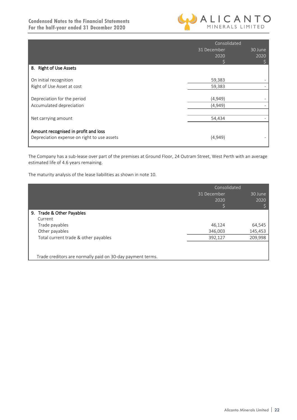

|                                             | Consolidated |         |  |
|---------------------------------------------|--------------|---------|--|
|                                             | 31 December  | 30 June |  |
|                                             | 2020         | 2020    |  |
|                                             |              |         |  |
| 8. Right of Use Assets                      |              |         |  |
|                                             |              |         |  |
| On initial recognition                      | 59,383       |         |  |
| Right of Use Asset at cost                  | 59,383       |         |  |
|                                             |              |         |  |
| Depreciation for the period                 | (4,949)      |         |  |
| Accumulated depreciation                    | (4,949)      |         |  |
|                                             |              |         |  |
| Net carrying amount                         | 54,434       |         |  |
|                                             |              |         |  |
| Amount recognised in profit and loss        |              |         |  |
| Depreciation expense on right to use assets | (4,949)      |         |  |
|                                             |              |         |  |

The Company has a sub-lease over part of the premises at Ground Floor, 24 Outram Street, West Perth with an average estimated life of 4.6 years remaining.

The maturity analysis of the lease liabilities as shown in note 10.

|                                                            | Consolidated |         |  |
|------------------------------------------------------------|--------------|---------|--|
|                                                            | 31 December  | 30 June |  |
|                                                            | 2020         | 2020    |  |
|                                                            |              |         |  |
| 9. Trade & Other Payables                                  |              |         |  |
| Current                                                    |              |         |  |
| Trade payables                                             | 46,124       | 64,545  |  |
| Other payables                                             | 346,003      | 145,453 |  |
| Total current trade & other payables                       | 392,127      | 209,998 |  |
|                                                            |              |         |  |
|                                                            |              |         |  |
| Trade creditors are normally paid on 30-day payment terms. |              |         |  |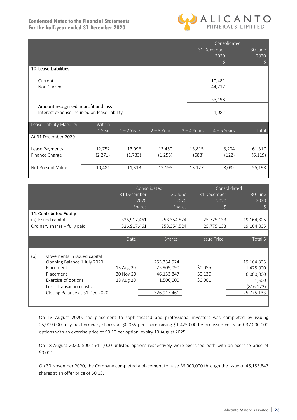

|                                                                                      |          |               |               | Consolidated  |                          |                       |
|--------------------------------------------------------------------------------------|----------|---------------|---------------|---------------|--------------------------|-----------------------|
|                                                                                      |          |               |               |               | 31 December<br>2020<br>S | 30 June<br>2020<br>\$ |
| 10. Lease Liabilities                                                                |          |               |               |               |                          |                       |
| Current                                                                              |          |               |               |               | 10,481                   |                       |
| Non Current                                                                          |          |               |               |               | 44,717                   |                       |
|                                                                                      |          |               |               |               | 55,198                   |                       |
| Amount recognised in profit and loss<br>Interest expense incurred on lease liability |          |               |               | 1,082         |                          |                       |
| Lease Liability Maturity                                                             | Within   |               |               |               |                          |                       |
| At 31 December 2020                                                                  | 1 Year   | $1 - 2$ Years | $2 - 3$ Years | $3 - 4$ Years | $4 - 5$ Years            | Total                 |
| Lease Payments                                                                       | 12,752   | 13,096        | 13,450        | 13,815        | 8,204                    | 61,317                |
| Finance Charge                                                                       | (2, 271) | (1,783)       | (1, 255)      | (688)         | (122)                    | (6, 119)              |
| Net Present Value                                                                    | 10,481   | 11,313        | 12,195        | 13,127        | 8,082                    | 55,198                |

|                              |                                | Consolidated  |               |                    | Consolidated |  |
|------------------------------|--------------------------------|---------------|---------------|--------------------|--------------|--|
|                              |                                | 31 December   | 30 June       | 31 December        | 30 June      |  |
|                              |                                | 2020          | 2020          | 2020               | 2020         |  |
|                              |                                | <b>Shares</b> | <b>Shares</b> |                    |              |  |
| 11. Contributed Equity       |                                |               |               |                    |              |  |
|                              | (a) Issued capital             | 326,917,461   | 253,354,524   | 25,775,133         | 19,164,805   |  |
| Ordinary shares - fully paid |                                | 326,917,461   | 253,354,524   | 25,775,133         | 19,164,805   |  |
|                              |                                |               |               |                    |              |  |
|                              |                                | Date          | <b>Shares</b> | <b>Issue Price</b> | Total \$     |  |
|                              |                                |               |               |                    |              |  |
|                              | Movements in issued capital    |               |               |                    |              |  |
| (b)                          | Opening Balance 1 July 2020    |               | 253,354,524   |                    | 19,164,805   |  |
|                              | Placement                      | 13 Aug 20     | 25,909,090    | \$0.055            | 1,425,000    |  |
|                              | Placement                      | 30 Nov 20     | 46,153,847    | \$0.130            | 6,000,000    |  |
|                              | Exercise of options            | 18 Aug 20     | 1,500,000     | \$0.001            | 1,500        |  |
|                              | Less: Transaction costs        |               |               |                    | (816, 172)   |  |
|                              | Closing Balance at 31 Dec 2020 |               | 326,917,461   |                    | 25,775,133   |  |
|                              |                                |               |               |                    |              |  |
|                              |                                |               |               |                    |              |  |

On 13 August 2020, the placement to sophisticated and professional investors was completed by issuing 25,909,090 fully paid ordinary shares at \$0.055 per share raising \$1,425,000 before issue costs and 37,000,000 options with an exercise price of \$0.10 per option, expiry 13 August 2025.

On 18 August 2020, 500 and 1,000 unlisted options respectively were exercised both with an exercise price of \$0.001.

On 30 November 2020, the Company completed a placement to raise \$6,000,000 through the issue of 46,153,847 shares at an offer price of \$0.13.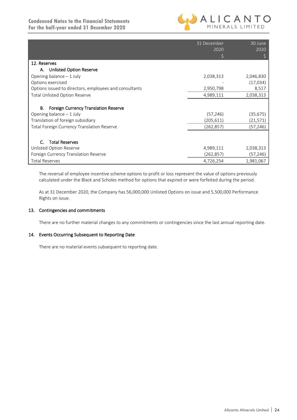

|                                                        | 31 December<br>2020 | 30 June<br>2020 |
|--------------------------------------------------------|---------------------|-----------------|
|                                                        |                     |                 |
| 12. Reserves                                           |                     |                 |
| <b>Unlisted Option Reserve</b><br>А.                   |                     |                 |
| Opening balance $-1$ July                              | 2,038,313           | 2,046,830       |
| Options exercised                                      |                     | (17, 034)       |
| Options issued to directors, employees and consultants | 2,950,798           | 8,517           |
| <b>Total Unlisted Option Reserve</b>                   | 4,989,111           | 2,038,313       |
| В.<br><b>Foreign Currency Translation Reserve</b>      |                     |                 |
| Opening balance $-1$ July                              | (57, 246)           | (35,675)        |
| Translation of foreign subsidiary                      | (205, 611)          | (21,571)        |
| Total Foreign Currency Translation Reserve             | (262, 857)          | (57,246)        |
|                                                        |                     |                 |
| <b>Total Reserves</b>                                  |                     |                 |
| Unlisted Option Reserve                                | 4,989,111           | 2,038,313       |
| Foreign Currency Translation Reserve                   | (262, 857)          | (57,246)        |
| <b>Total Reserves</b>                                  | 4,726,254           | 1,981,067       |

The reversal of employee incentive scheme options to profit or loss represent the value of options previously calculated under the Black and Scholes method for options that expired or were forfeited during the period.

As at 31 December 2020, the Company has 56,000,000 Unlisted Options on issue and 5,500,000 Performance Rights on issue.

#### 13. Contingencies and commitments

There are no further material changes to any commitments or contingencies since the last annual reporting date.

#### 14. Events Occurring Subsequent to Reporting Date

There are no material events subsequent to reporting date.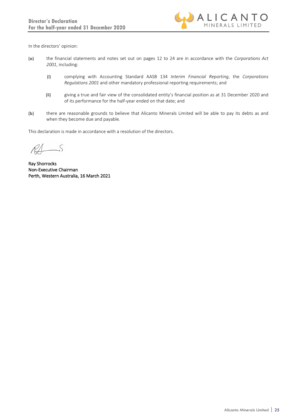

In the directors' opinion:

- (a) the financial statements and notes set out on pages 12 to 24 are in accordance with the *Corporations Act 2001*, including:
	- (i) complying with Accounting Standard AASB 134 *Interim Financial Reporting*, the *Corporations Regulations 2001* and other mandatory professional reporting requirements; and
	- (ii) giving a true and fair view of the consolidated entity's financial position as at 31 December 2020 and of its performance for the half-year ended on that date; and
- (b) there are reasonable grounds to believe that Alicanto Minerals Limited will be able to pay its debts as and when they become due and payable.

This declaration is made in accordance with a resolution of the directors.

 $R\rightarrow$ 

Ray Shorrocks Non-Executive Chairman Perth, Western Australia, 16 March 2021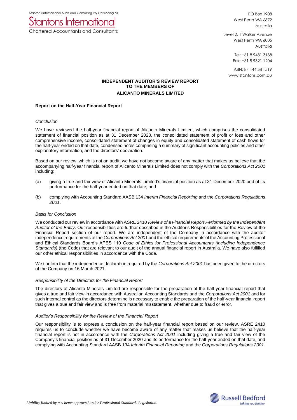Stantons International Audit and Consulting Pty Ltd trading as



Chartered Accountants and Consultants

PO Box 1908 West Perth WA 6872 Australia

Level 2, 1 Walker Avenue West Perth WA 6005 Australia

> Tel: +61 8 9481 3188 Fax: +61 8 9321 1204

ABN: 84 144 581 519 www.stantons.com.au

#### **INDEPENDENT AUDITOR'S REVIEW REPORT TO THE MEMBERS OF ALICANTO MINERALS LIMITED**

#### **Report on the Half-Year Financial Report**

#### *Conclusion*

We have reviewed the half-year financial report of Alicanto Minerals Limited, which comprises the consolidated statement of financial position as at 31 December 2020, the consolidated statement of profit or loss and other comprehensive income, consolidated statement of changes in equity and consolidated statement of cash flows for the half-year ended on that date, condensed notes comprising a summary of significant accounting policies and other explanatory information, and the directors' declaration.

Based on our review, which is not an audit, we have not become aware of any matter that makes us believe that the accompanying half-year financial report of Alicanto Minerals Limited does not comply with the *Corporations Act 2001* including:

- (a) giving a true and fair view of Alicanto Minerals Limited's financial position as at 31 December 2020 and of its performance for the half-year ended on that date; and
- (b) complying with Accounting Standard AASB 134 *Interim Financial Reporting* and the *Corporations Regulations 2001*.

#### *Basis for Conclusion*

We conducted our review in accordance with ASRE 2410 *Review of a Financial Report Performed by the Independent Auditor of the Entity*. Our responsibilities are further described in the Auditor's Responsibilities for the Review of the Financial Report section of our report. We are independent of the Company in accordance with the auditor independence requirements of the *Corporations Act 2001* and the ethical requirements of the Accounting Professional and Ethical Standards Board's APES 110 *Code of Ethics for Professional Accountants (including Independence Standards)* (the Code) that are relevant to our audit of the annual financial report in Australia. We have also fulfilled our other ethical responsibilities in accordance with the Code.

We confirm that the independence declaration required by the *Corporations Act 2001* has been given to the directors of the Company on 16 March 2021.

#### *Responsibility of the Directors for the Financial Report*

The directors of Alicanto Minerals Limited are responsible for the preparation of the half-year financial report that gives a true and fair view in accordance with Australian Accounting Standards and the *Corporations Act 2001* and for such internal control as the directors determine is necessary to enable the preparation of the half-year financial report that gives a true and fair view and is free from material misstatement, whether due to fraud or error.

#### *Auditor's Responsibility for the Review of the Financial Report*

Our responsibility is to express a conclusion on the half-year financial report based on our review. ASRE 2410 requires us to conclude whether we have become aware of any matter that makes us believe that the half-year financial report is not in accordance with the *Corporations Act 2001* including giving a true and fair view of the Company's financial position as at 31 December 2020 and its performance for the half-year ended on that date, and complying with Accounting Standard AASB 134 *Interim Financial Reporting* and the *Corporations Regulations 2001*.